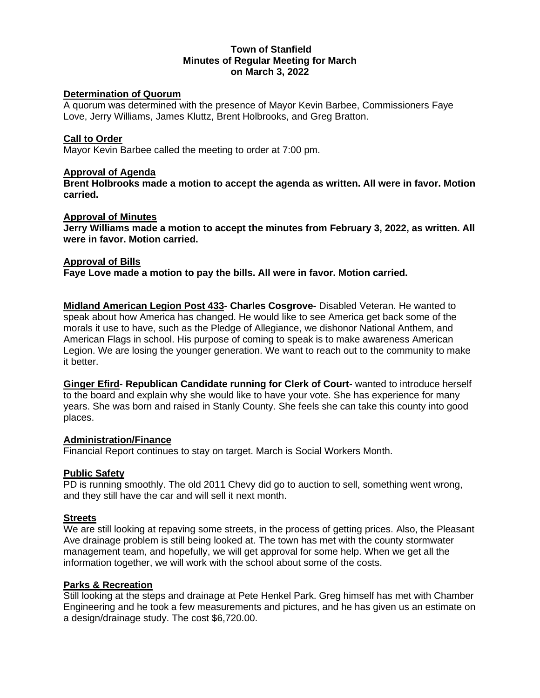### **Town of Stanfield Minutes of Regular Meeting for March on March 3, 2022**

### **Determination of Quorum**

A quorum was determined with the presence of Mayor Kevin Barbee, Commissioners Faye Love, Jerry Williams, James Kluttz, Brent Holbrooks, and Greg Bratton.

### **Call to Order**

Mayor Kevin Barbee called the meeting to order at 7:00 pm.

### **Approval of Agenda**

**Brent Holbrooks made a motion to accept the agenda as written. All were in favor. Motion carried.** 

### **Approval of Minutes**

**Jerry Williams made a motion to accept the minutes from February 3, 2022, as written. All were in favor. Motion carried.** 

### **Approval of Bills**

**Faye Love made a motion to pay the bills. All were in favor. Motion carried.** 

**Midland American Legion Post 433- Charles Cosgrove-** Disabled Veteran. He wanted to speak about how America has changed. He would like to see America get back some of the morals it use to have, such as the Pledge of Allegiance, we dishonor National Anthem, and American Flags in school. His purpose of coming to speak is to make awareness American Legion. We are losing the younger generation. We want to reach out to the community to make it better.

**Ginger Efird- Republican Candidate running for Clerk of Court-** wanted to introduce herself to the board and explain why she would like to have your vote. She has experience for many years. She was born and raised in Stanly County. She feels she can take this county into good places.

### **Administration/Finance**

Financial Report continues to stay on target. March is Social Workers Month.

### **Public Safety**

PD is running smoothly. The old 2011 Chevy did go to auction to sell, something went wrong, and they still have the car and will sell it next month.

### **Streets**

We are still looking at repaving some streets, in the process of getting prices. Also, the Pleasant Ave drainage problem is still being looked at. The town has met with the county stormwater management team, and hopefully, we will get approval for some help. When we get all the information together, we will work with the school about some of the costs.

## **Parks & Recreation**

Still looking at the steps and drainage at Pete Henkel Park. Greg himself has met with Chamber Engineering and he took a few measurements and pictures, and he has given us an estimate on a design/drainage study. The cost \$6,720.00.